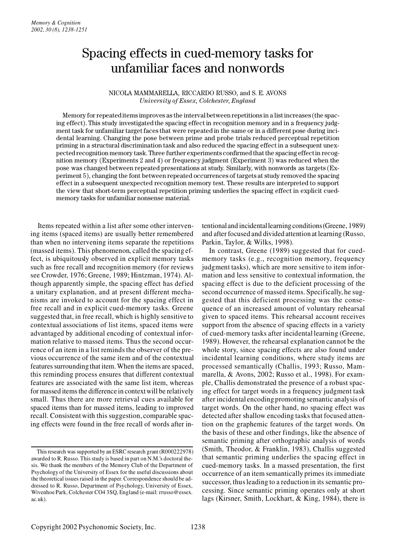# Spacing effects in cued-memory tasks for unfamiliar faces and nonwords

## NICOLA MAMMARELLA, RICCARDO RUSSO, and S. E. AVONS *University of Essex, Colchester, England*

Memory for repeated items improves as the interval between repetitions in a list increases (the spacing effect). This study investigated the spacing effect in recognition memory and in a frequency judgment task for unfamiliar target faces that were repeated in the same or in a different pose during incidental learning. Changing the pose between prime and probe trials reduced perceptual repetition priming in a structural discrimination task and also reduced the spacing effect in a subsequent unexpected recognition memory task. Three further experiments confirmed that the spacing effectin recognition memory (Experiments 2 and 4) or frequency judgment (Experiment 3) was reduced when the pose was changed between repeated presentations at study. Similarly, with nonwords as targets (Experiment 5), changing the font between repeated occurrences of targets at study removed the spacing effect in a subsequent unexpected recognition memory test. These results are interpreted to support the view that short-term perceptual repetition priming underlies the spacing effect in explicit cuedmemory tasks for unfamiliar nonsense material.

Items repeated within a list after some other intervening items (spaced items) are usually better remembered than when no intervening items separate the repetitions (massed items). This phenomenon, called the spacing effect, is ubiquitously observed in explicit memory tasks such as free recall and recognition memory (for reviews see Crowder, 1976; Greene, 1989; Hintzman, 1974). Although apparently simple, the spacing effect has defied a unitary explanation, and at present different mechanisms are invoked to account for the spacing effect in free recall and in explicit cued-memory tasks. Greene suggested that, in free recall, which is highly sensitive to contextual associations of list items, spaced items were advantaged by additional encoding of contextual information relative to massed items. Thus the second occurrence of an item in a list reminds the observer of the previous occurrence of the same item and of the contextual features surroundingthat item.When the items are spaced, this reminding process ensures that different contextual features are associated with the same list item, whereas for massed items the difference in context will be relatively small. Thus there are more retrieval cues available for spaced items than for massed items, leading to improved recall. Consistent with this suggestion, comparable spacing effects were found in the free recall of words after intentional and incidentallearning conditions (Greene, 1989) and after focused and divided attention at learning (Russo, Parkin, Taylor, & Wilks, 1998).

In contrast, Greene (1989) suggested that for cuedmemory tasks (e.g., recognition memory, frequency judgment tasks), which are more sensitive to item information and less sensitive to contextual information, the spacing effect is due to the deficient processing of the second occurrence of massed items. Specifically, he suggested that this deficient processing was the consequence of an increased amount of voluntary rehearsal given to spaced items. This rehearsal account receives support from the absence of spacing effects in a variety of cued-memory tasks after incidental learning (Greene, 1989). However, the rehearsal explanation cannot be the whole story, since spacing effects are also found under incidental learning conditions, where study items are processed semantically (Challis, 1993; Russo, Mammarella, & Avons, 2002; Russo et al., 1998). For example, Challis demonstrated the presence of a robust spacing effect for target words in a frequency judgment task after incidental encoding promoting semantic analysis of target words. On the other hand, no spacing effect was detected after shallow encoding tasks that focused attention on the graphemic features of the target words. On the basis of these and other findings, like the absence of semantic priming after orthographic analysis of words (Smith, Theodor, & Franklin, 1983), Challis suggested that semantic priming underlies the spacing effect in cued-memory tasks. In a massed presentation, the first occurrence of an item semantically primes its immediate successor, thus leading to a reduction in its semantic processing. Since semantic priming operates only at short lags (Kirsner, Smith, Lockhart, & King, 1984), there is

This research was supported by an ESRC research grant (R000222978) awarded to R. Russo. This study is based in part on N.M.'s doctoral thesis. We thank the members of the Memory Club of the Department of Psychology of the University of Essex for the useful discussions about the theoretical issues raised in the paper. Correspondence should be addressed to R. Russo, Department of Psychology, University of Essex, Wivenhoe Park, Colchester CO4 3SQ, England (e-mail: rrusso@essex. ac.uk).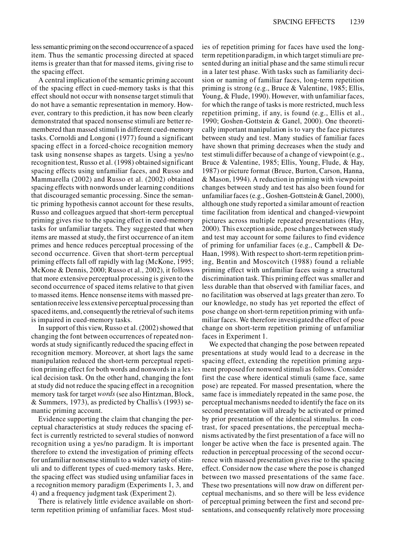less semantic priming on the second occurrence of a spaced item. Thus the semantic processing directed at spaced items is greater than that for massed items, giving rise to the spacing effect.

A central implication of the semantic priming account of the spacing effect in cued-memory tasks is that this effect should not occur with nonsense target stimuli that do not have a semantic representation in memory. However, contrary to this prediction, it has now been clearly demonstrated that spaced nonsense stimuli are better remembered than massed stimuli in different cued-memory tasks. Cornoldi and Longoni (1977) found a significant spacing effect in a forced-choice recognition memory task using nonsense shapes as targets. Using a yes/no recognition test, Russo et al. (1998) obtained significant spacing effects using unfamiliar faces, and Russo and Mammarella (2002) and Russo et al. (2002) obtained spacing effects with nonwords under learning conditions that discouraged semantic processing. Since the semantic priming hypothesis cannot account for these results, Russo and colleagues argued that short-term perceptual priming gives rise to the spacing effect in cued-memory tasks for unfamiliar targets. They suggested that when items are massed at study, the first occurrence of an item primes and hence reduces perceptual processing of the second occurrence. Given that short-term perceptual priming effects fall off rapidly with lag (McKone, 1995; McKone & Dennis, 2000; Russo et al., 2002), it follows that more extensive perceptual processing is given to the second occurrence of spaced items relative to that given to massed items. Hence nonsense items with massed presentation receive less extensive perceptual processing than spaced items, and, consequentlythe retrieval of such items is impaired in cued-memory tasks.

In support of this view, Russo et al. (2002) showed that changing the font between occurrences of repeated nonwords at study significantly reduced the spacing effect in recognition memory. Moreover, at short lags the same manipulation reduced the short-term perceptual repetition priming effect for both words and nonwords in a lexical decision task. On the other hand, changing the font at study did not reduce the spacing effect in a recognition memory task for target *words*(see also Hintzman, Block, & Summers, 1973), as predicted by Challis's (1993) semantic priming account.

Evidence supporting the claim that changing the perceptual characteristics at study reduces the spacing effect is currently restricted to several studies of nonword recognition using a yes/no paradigm. It is important therefore to extend the investigation of priming effects for unfamiliar nonsense stimuli to a wider variety of stimuli and to different types of cued-memory tasks. Here, the spacing effect was studied using unfamiliar faces in a recognition memory paradigm (Experiments 1, 3, and 4) and a frequency judgment task (Experiment 2).

There is relatively little evidence available on shortterm repetition priming of unfamiliar faces. Most studies of repetition priming for faces have used the longterm repetition paradigm, in which target stimuli are presented during an initial phase and the same stimuli recur in a later test phase. With tasks such as familiarity decision or naming of familiar faces, long-term repetition priming is strong (e.g., Bruce & Valentine, 1985; Ellis, Young, & Flude, 1990). However, with unfamiliar faces, for which the range of tasks is more restricted, much less repetition priming, if any, is found (e.g., Ellis et al., 1990; Goshen-Gottstein & Ganel, 2000). One theoretically important manipulation is to vary the face pictures between study and test. Many studies of familiar faces have shown that priming decreases when the study and test stimuli differ because of a change of viewpoint (e.g., Bruce & Valentine, 1985; Ellis, Young, Flude, & Hay, 1987) or picture format (Bruce, Burton, Carson, Hanna, & Mason, 1994). A reduction in priming with viewpoint changes between study and test has also been found for unfamiliar faces (e.g., Goshen-Gottstein & Ganel, 2000), although one study reported a similar amount of reaction time facilitation from identical and changed-viewpoint pictures across multiple repeated presentations (Hay, 2000). This exception aside, pose changes between study and test may account for some failures to find evidence of priming for unfamiliar faces (e.g., Campbell & De-Haan, 1998). With respect to short-term repetition priming, Bentin and Moscovitch (1988) found a reliable priming effect with unfamiliar faces using a structural discrimination task. This priming effect was smaller and less durable than that observed with familiar faces, and no facilitation was observed at lags greater than zero. To our knowledge, no study has yet reported the effect of pose change on short-term repetition priming with unfamiliar faces. We therefore investigated the effect of pose change on short-term repetition priming of unfamiliar faces in Experiment 1.

We expected that changing the pose between repeated presentations at study would lead to a decrease in the spacing effect, extending the repetition priming argument proposed for nonword stimuli as follows. Consider first the case where identical stimuli (same face, same pose) are repeated. For massed presentation, where the same face is immediately repeated in the same pose, the perceptual mechanisms needed to identify the face on its second presentation will already be activated or primed by prior presentation of the identical stimulus. In contrast, for spaced presentations, the perceptual mechanisms activated by the first presentation of a face will no longer be active when the face is presented again. The reduction in perceptual processing of the second occurrence with massed presentation gives rise to the spacing effect. Consider now the case where the pose is changed between two massed presentations of the same face. These two presentations will now draw on different perceptual mechanisms, and so there will be less evidence of perceptual priming between the first and second presentations, and consequently relatively more processing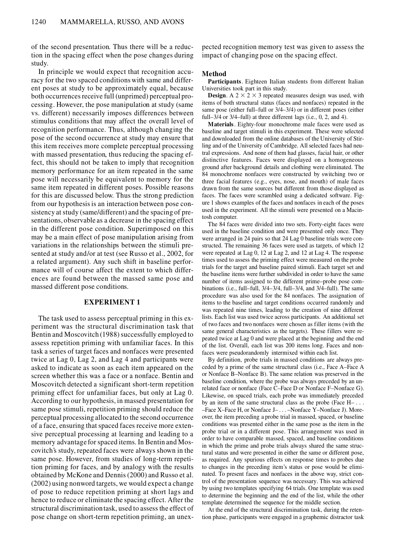of the second presentation. Thus there will be a reduction in the spacing effect when the pose changes during study.

In principle we would expect that recognition accuracy for the two spaced conditions with same and different poses at study to be approximately equal, because both occurrences receive full (unprimed) perceptual processing. However, the pose manipulation at study (same vs. different) necessarily imposes differences between stimulus conditions that may affect the overall level of recognition performance. Thus, although changing the pose of the second occurrence at study may ensure that this item receives more complete perceptual processing with massed presentation, thus reducing the spacing effect, this should not be taken to imply that recognition memory performance for an item repeated in the same pose will necessarily be equivalent to memory for the same item repeated in different poses. Possible reasons for this are discussed below. Thus the strong prediction from our hypothesis is an interaction between pose consistency at study (same/different) and the spacing of presentations, observable as a decrease in the spacing effect in the different pose condition. Superimposed on this may be a main effect of pose manipulation arising from variations in the relationships between the stimuli presented at study and/or at test (see Russo et al., 2002, for a related argument). Any such shift in baseline performance will of course affect the extent to which differences are found between the massed same pose and massed different pose conditions.

## **EXPERIMENT 1**

The task used to assess perceptual priming in this experiment was the structural discrimination task that Bentin and Moscovitch (1988) successfully employed to assess repetition priming with unfamiliar faces. In this task a series of target faces and nonfaces were presented twice at Lag 0, Lag 2, and Lag 4 and participants were asked to indicate as soon as each item appeared on the screen whether this was a face or a nonface. Bentin and Moscovitch detected a significant short-term repetition priming effect for unfamiliar faces, but only at Lag 0. According to our hypothesis, in massed presentation for same pose stimuli, repetition priming should reduce the perceptual processing allocated to the second occurrence of a face, ensuring that spaced faces receive more extensive perceptual processing at learning and leading to a memory advantage for spaced items. In Bentin and Moscovitch's study, repeated faces were always shown in the same pose. However, from studies of long-term repetition priming for faces, and by analogy with the results obtained by McKone and Dennis (2000) and Russo et al. (2002) using nonword targets, we would expect a change of pose to reduce repetition priming at short lags and hence to reduce or eliminate the spacing effect. After the structural discriminationtask, used to assess the effect of pose change on short-term repetition priming, an unexpected recognition memory test was given to assess the impact of changing pose on the spacing effect.

### **Method**

**Participants**. Eighteen Italian students from different Italian Universities took part in this study.

**Design.** A  $2 \times 2 \times 3$  repeated measures design was used, with items of both structural status (faces and nonfaces) repeated in the same pose (either full–full or 3/4–3/4) or in different poses (either full–3/4 or 3/4–full) at three different lags (i.e., 0, 2, and 4).

**Materials**. Eighty-four monochrome male faces were used as baseline and target stimuli in this experiment. These were selected and downloaded from the online databases of the University of Stirling and of the University of Cambridge. All selected faces had neutral expressions. And none of them had glasses, facial hair, or other distinctive features. Faces were displayed on a homogeneous ground after background details and clothing were eliminated. The 84 monochrome nonfaces were constructed by switching two or three facial features (e.g., eyes, nose, and mouth) of male faces drawn from the same sources but different from those displayed as faces. The faces were scrambled using a dedicated software. Figure 1 shows examples of the faces and nonfaces in each of the poses used in the experiment. All the stimuli were presented on a Macintosh computer.

The 84 faces were divided into two sets. Forty-eight faces were used in the baseline condition and were presented only once. They were arranged in 24 pairs so that 24 Lag 0 baseline trials were constructed. The remaining 36 faces were used as targets, of which 12 were repeated at Lag 0, 12 at Lag 2, and 12 at Lag 4. The response times used to assess the priming effect were measured on the probe trials for the target and baseline paired stimuli. Each target set and the baseline items were further subdivided in order to have the same number of items assigned to the different prime–probe pose combinations (i.e., full–full, 3/4–3/4, full–3/4, and 3/4–full). The same procedure was also used for the 84 nonfaces. The assignation of items to the baseline and target conditions occurred randomly and was repeated nine times, leading to the creation of nine different lists. Each list was used twice across participants. An additional set of two faces and two nonfaces were chosen as filler items (with the same general characteristics as the targets). These fillers were repeated twice at Lag 0 and were placed at the beginning and the end of the list. Overall, each list was 200 items long. Faces and nonfaces were pseudorandomly intermixed within each list.

By definition, probe trials in massed conditions are always preceded by a prime of the same structural class (i.e., Face A–Face A or Nonface B–Nonface B). The same relation was preserved in the baseline condition, where the probe was always preceded by an unrelated face or nonface (Face C–Face D or Nonface F–Nonface G). Likewise, on spaced trials, each probe was immediately preceded by an item of the same structural class as the probe (Face H– . . . –Face X–Face H, or Nonface J– . . . –Nonface Y–Nonface J). Moreover, the item preceding a probe trial in massed, spaced, or baseline conditions was presented either in the same pose as the item in the probe trial or in a different pose. This arrangement was used in order to have comparable massed, spaced, and baseline conditions in which the prime and probe trials always shared the same structural status and were presented in either the same or different pose, as required. Any spurious effects on response times to probes due to changes in the preceding item's status or pose would be eliminated. To present faces and nonfaces in the above way, strict control of the presentation sequence was necessary. This was achieved by using two templates specifying 64 trials. One template was used to determine the beginning and the end of the list, while the other template determined the sequence for the middle section.

At the end of the structural discrimination task, during the retention phase, participants were engaged in a graphemic distractor task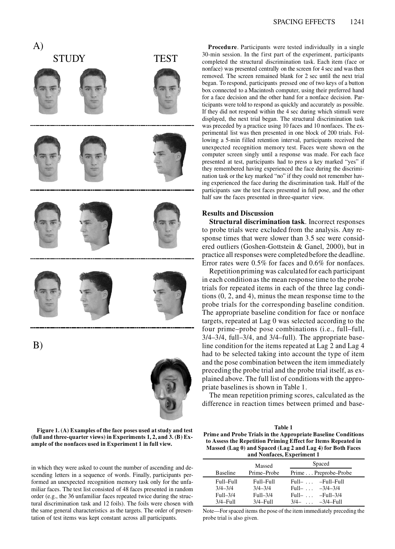

**Figure 1. (A) Examples of the face poses used at study and test (full and three-quarter views) in Experiments 1, 2, and 3. (B) Example of the nonfaces used in Experiment 1 in full view.**

in which they were asked to count the number of ascending and descending letters in a sequence of words. Finally, participants performed an unexpected recognition memory task only for the unfamiliar faces. The test list consisted of 48 faces presented in random order (e.g., the 36 unfamiliar faces repeated twice during the structural discrimination task and 12 foils). The foils were chosen with the same general characteristics as the targets. The order of presentation of test items was kept constant across all participants.

**Procedu re**. Participants were tested individually in a single 30-min session. In the first part of the experiment, participants completed the structural discrimination task. Each item (face or nonface) was presented centrally on the screen for 4 sec and was then removed. The screen remained blank for 2 sec until the next trial began. To respond, participants pressed one of two keys of a button box connected to a Macintosh computer, using their preferred hand for a face decision and the other hand for a nonface decision. Participants were told to respond as quickly and accurately as possible. If they did not respond within the 4 sec during which stimuli were displayed, the next trial began. The structural discrimination task was preceded by a practice using 10 faces and 10 nonfaces. The experimental list was then presented in one block of 200 trials. Following a 5-min filled retention interval, participants received the unexpected recognition memory test. Faces were shown on the computer screen singly until a response was made. For each face presented at test, participants had to press a key marked "yes" if they remembered having experienced the face during the discrimination task or the key marked "no" if they could not remember having experienced the face during the discrimination task. Half of the participants saw the test faces presented in full pose, and the other half saw the faces presented in three-quarter view.

# **Results and Discussion**

**Structural discrimination task**. Incorrect responses to probe trials were excluded from the analysis. Any response times that were slower than 3.5 sec were considered outliers (Goshen-Gottstein & Ganel, 2000), but in practice all responses were completed before the deadline. Error rates were 0.5% for faces and 0.6% for nonfaces.

Repetition priming was calculated for each participant in each condition as the mean response time to the probe trials for repeated items in each of the three lag conditions (0, 2, and 4), minus the mean response time to the probe trials for the corresponding baseline condition. The appropriate baseline condition for face or nonface targets, repeated at Lag 0 was selected according to the four prime–probe pose combinations (i.e., full–full, 3/4–3/4, full–3/4, and 3/4–full). The appropriate baseline condition for the items repeated at Lag 2 and Lag 4 had to be selected taking into account the type of item and the pose combination between the item immediately preceding the probe trial and the probe trial itself, as explained above. The full list of conditions with the appropriate baselines is shown in Table 1.

The mean repetition priming scores, calculated as the difference in reaction times between primed and base-

| Table 1                                                       |
|---------------------------------------------------------------|
| Prime and Probe Trials in the Appropriate Baseline Conditions |
| to Assess the Repetition Priming Effect for Items Repeated in |
| Massed (Lag 0) and Spaced (Lag 2 and Lag 4) for Both Faces    |
| and Nonfaces, Experiment 1                                    |

|                 | Massed       | Spaced                |
|-----------------|--------------|-----------------------|
| <b>Baseline</b> | Prime-Probe  | Prime Preprobe-Probe  |
| Full-Full       | Full-Full    | $Full -  - Full-Full$ |
| $3/4 - 3/4$     | $3/4 - 3/4$  | Full- $-3/4-3/4$      |
| $Full-3/4$      | $Full-3/4$   | $Full -  - Full-3/4$  |
| $3/4 - Full$    | $3/4 - Full$ | $3/4 - 3/4 - Full$    |

Note—For spaced items the pose of the item immediately preceding the probe trial is also given.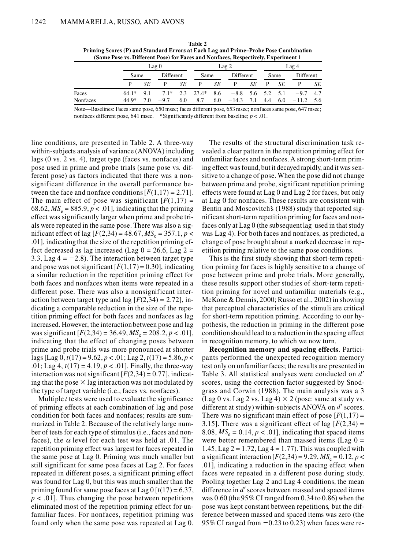|                 |             | Lag <sub>0</sub> |        |           |                      | $\text{Lag} 2$ |                    |           |     | Lag 4 |             |    |  |
|-----------------|-------------|------------------|--------|-----------|----------------------|----------------|--------------------|-----------|-----|-------|-------------|----|--|
|                 |             | Same             |        | Different |                      | Same           |                    | Different |     | Same  | Different   |    |  |
|                 | P           | SE               | P      | SE        | P                    | SΕ             | P                  | SЕ        | P   | SE    |             | SΕ |  |
| Faces           | $64.1*$ 9.1 |                  |        |           | $7.1*$ 2.3 27.4* 8.6 |                | $-8.8$ 5.6 5.2 5.1 |           |     |       | $-9.7$ 4.7  |    |  |
| <b>Nonfaces</b> | 44.9*       | 7 O              | $-9.7$ | 6.0       | 8.7                  | 6.0            | $-14.3$            | 7.1       | 4.4 | 6.0   | $-11.2$ 5.6 |    |  |

**Table 2 Priming Scores (P) and Standard Errors at Each Lag and Prime–Probe Pose Combination (Same Pose vs. Different Pose) for Faces and Nonfaces, Respectively, Experiment 1**

Note—Baselines: Faces same pose, 650 msec; faces different pose, 653 msec; nonfaces same pose, 647 msec; nonfaces different pose,  $641$  msec. \*Significantly different from baseline;  $p < .01$ .

line conditions, are presented in Table 2. A three-way within-subjects analysis of variance (ANOVA) including lags (0 vs. 2 vs. 4), target type (faces vs. nonfaces) and pose used in prime and probe trials (same pose vs. different pose) as factors indicated that there was a nonsignificant difference in the overall performance between the face and nonface conditions  $[F(1,17) = 2.71]$ . The main effect of pose was significant  $[F(1,17) =$  $68.62$ ,  $MS<sub>e</sub> = 885.9$ ,  $p < .01$ ], indicating that the priming effect was significantly larger when prime and probe trials were repeated in the same pose. There was also a significant effect of lag  $[F(2,34) = 48.67, MS_e = 357.1, p <$ .01], indicating that the size of the repetition priming effect decreased as lag increased (Lag  $0 = 26.6$ , Lag  $2 =$ 3.3, Lag  $4 = -2.8$ ). The interaction between target type and pose was not significant  $[F(1,17) = 0.30]$ , indicating a similar reduction in the repetition priming effect for both faces and nonfaces when items were repeated in a different pose. There was also a nonsignificant interaction between target type and lag  $[F(2,34) = 2.72]$ , indicating a comparable reduction in the size of the repetition priming effect for both faces and nonfaces as lag increased. However, the interaction between pose and lag was significant  $[F(2,34) = 36.49, MS_e = 208.2, p < .01]$ , indicating that the effect of changing poses between prime and probe trials was more pronounced at shorter lags [Lag 0, *t*(17) = 9.62, *p* < .01; Lag 2, *t*(17) = 5.86, *p* < .01; Lag 4, *t*(17) = 4.19, *p* < .01]. Finally, the three-way interaction was not significant  $[F(2,34) = 0.77]$ , indicating that the pose  $\times$  lag interaction was not modulated by the type of target variable (i.e., faces vs. nonfaces).

Multiple *t* tests were used to evaluate the significance of priming effects at each combination of lag and pose condition for both faces and nonfaces; results are summarized in Table 2. Because of the relatively large number of tests for each type of stimulus (i.e., faces and nonfaces), the  $\alpha$  level for each test was held at .01. The repetition priming effect was largest for faces repeated in the same pose at Lag 0. Priming was much smaller but still significant for same pose faces at Lag 2. For faces repeated in different poses, a significant priming effect was found for Lag 0, but this was much smaller than the priming found for same pose faces at Lag  $0 \left[t(17) = 6.37\right]$ ,  $p < .01$ ]. Thus changing the pose between repetitions eliminated most of the repetition priming effect for unfamiliar faces. For nonfaces, repetition priming was found only when the same pose was repeated at Lag 0.

The results of the structural discrimination task revealed a clear pattern in the repetition priming effect for unfamiliar faces and nonfaces. A strong short-term priming effect was found, but it decayed rapidly, and it was sensitive to a change of pose. When the pose did not change between prime and probe, significant repetition priming effects were found at Lag 0 and Lag 2 for faces, but only at Lag 0 for nonfaces. These results are consistent with Bentin and Moscovitch's (1988) study that reported significant short-term repetition priming for faces and nonfaces only at Lag 0 (the subsequent lag used in that study was Lag 4). For both faces and nonfaces, as predicted, a change of pose brought about a marked decrease in repetition priming relative to the same pose conditions.

This is the first study showing that short-term repetition priming for faces is highly sensitive to a change of pose between prime and probe trials. More generally, these results support other studies of short-term repetition priming for novel and unfamiliar materials (e.g., McKone & Dennis, 2000; Russo et al., 2002) in showing that perceptual characteristics of the stimuli are critical for short-term repetition priming. According to our hypothesis, the reduction in priming in the different pose condition should lead to a reduction in the spacing effect in recognition memory, to which we now turn.

**Recognition memory and spacing effects**. Participants performed the unexpected recognition memory test only on unfamiliar faces; the results are presented in Table 3. All statistical analyses were conducted on *d'* scores, using the correction factor suggested by Snodgrass and Corwin (1988). The main analysis was a 3 (Lag 0 vs. Lag 2 vs. Lag 4)  $\times$  2 (pose: same at study vs. different at study) within-subjects ANOVA on *d'* scores. There was no significant main effect of pose  $[F(1,17) =$ 3.15]. There was a significant effect of lag  $[F(2,34) =$ 8.08,  $MS_e = 0.14$ ,  $p < .01$ ], indicating that spaced items were better remembered than massed items  $(Lag 0 =$ 1.45, Lag  $2 = 1.72$ , Lag  $4 = 1.77$ ). This was coupled with a significant interaction  $[F(2,34) = 9.29, MS_e = 0.12, p <$ .01], indicating a reduction in the spacing effect when faces were repeated in a different pose during study. Pooling together Lag 2 and Lag 4 conditions, the mean difference in *d'* scores between massed and spaced items was 0.60 (the 95% CI ranged from 0.34 to 0.86) when the pose was kept constant between repetitions, but the difference between massed and spaced items was zero (the 95% CI ranged from  $-0.23$  to 0.23) when faces were re-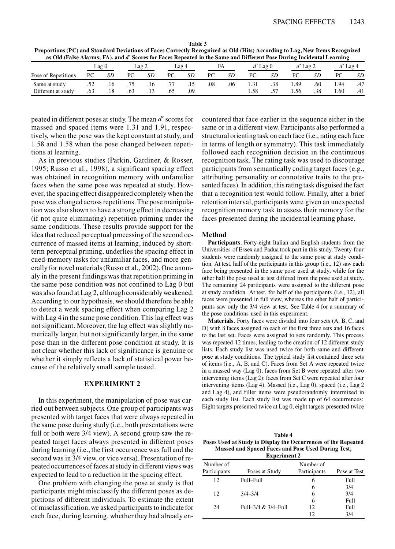**Table 3 Proportions (PC) and Standard Deviations of Faces Correctly Recognized as Old (Hits) According to Lag, New Items Recognized as Old (False Alarms; FA), and** *d*¢ **Scores for Faces Repeated in the Same and Different Pose During Incidental Learning**

|                                     | $\text{Lag} \, \Gamma$ |            | Lag       |       | $\text{Lag }4$ |            | FA  |     | $\text{Lag}$ $\theta$<br>a |         | $d'$ Lag $\alpha$ |            | $\text{Lag}$<br>a |            |
|-------------------------------------|------------------------|------------|-----------|-------|----------------|------------|-----|-----|----------------------------|---------|-------------------|------------|-------------------|------------|
| Pose of Repetitions                 | PС                     | SD         | PC        | SD    | PС             | SD         | РC  | SD  | PС                         | SD      | PС                | SD         | PС                | SD         |
| Same at study<br>Different at study | .52<br>.63             | .16<br>.18 | 15<br>.63 | .16   | .65            | .15<br>.09 | .08 | .06 | 1.31<br>1.58               | .38     | 1.89<br>. . 56    | .60<br>.38 | 1.94<br>1.60      | .47<br>.41 |
|                                     |                        |            |           | ن 1 ب |                |            |     |     |                            | $\cdot$ |                   |            |                   |            |

peated in different poses at study. The mean *d'* scores for massed and spaced items were 1.31 and 1.91, respectively, when the pose was the kept constant at study, and 1.58 and 1.58 when the pose changed between repetitions at learning.

As in previous studies (Parkin, Gardiner, & Rosser, 1995; Russo et al., 1998), a significant spacing effect was obtained in recognition memory with unfamiliar faces when the same pose was repeated at study. However, the spacing effect disappeared completely when the pose was changed across repetitions. The pose manipulation was also shown to have a strong effect in decreasing (if not quite eliminating) repetition priming under the same conditions. These results provide support for the idea that reduced perceptual processing of the second occurrence of massed items at learning, induced by shortterm perceptual priming, underlies the spacing effect in cued-memory tasks for unfamiliar faces, and more generally for novel materials (Russo et al., 2002). One anomaly in the present findings was that repetition priming in the same pose condition was not confined to Lag 0 but was also found at Lag 2, although considerably weakened. According to our hypothesis, we should therefore be able to detect a weak spacing effect when comparing Lag 2 with Lag 4 in the same pose condition.This lag effect was not significant. Moreover, the lag effect was slightly numerically larger, but not significantly larger, in the same pose than in the different pose condition at study. It is not clear whether this lack of significance is genuine or whether it simply reflects a lack of statistical power because of the relatively small sample tested.

## **EXPERIMENT 2**

In this experiment, the manipulation of pose was carried out between subjects. One group of participants was presented with target faces that were always repeated in the same pose during study (i.e., both presentations were full or both were 3/4 view). A second group saw the repeated target faces always presented in different poses during learning (i.e., the first occurrence was full and the second was in 3/4 view, or vice versa). Presentation of repeated occurrences of faces at study in different views was expected to lead to a reduction in the spacing effect.

One problem with changing the pose at study is that participants might misclassify the different poses as depictions of different individuals. To estimate the extent of misclassification, we asked participants to indicate for each face, during learning, whether they had already encountered that face earlier in the sequence either in the same or in a different view. Participants also performed a structural orientingtask on each face (i.e., rating each face in terms of length or symmetry). This task immediately followed each recognition decision in the continuous recognition task. The rating task was used to discourage participants from semantically coding target faces (e.g., attributing personality or connotative traits to the presented faces). In addition,this rating task disguisedthe fact that a recognition test would follow. Finally, after a brief retention interval, participants were given an unexpected recognition memory task to assess their memory for the faces presented during the incidental learning phase.

#### **Method**

**Participants**. Forty-eight Italian and English students from the Universities of Essex and Padua took part in this study. Twenty-four students were randomly assigned to the same pose at study condition. At test, half of the participants in this group (i.e., 12) saw each face being presented in the same pose used at study, while for the other half the pose used at test differed from the pose used at study. The remaining 24 participants were assigned to the different pose at study condition. At test, for half of the participants (i.e., 12), all faces were presented in full view, whereas the other half of participants saw only the 3/4 view at test. See Table 4 for a summary of the pose conditions used in this experiment.

**Materials**. Forty faces were divided into four sets (A, B, C, and D) with 8 faces assigned to each of the first three sets and 16 faces to the last set. Faces were assigned to sets randomly. This process was repeated 12 times, leading to the creation of 12 different study lists. Each study list was used twice for both same and different pose at study conditions. The typical study list contained three sets of items (i.e., A, B, and C). Faces from Set A were repeated twice in a massed way (Lag 0); faces from Set B were repeated after two intervening items (Lag 2); faces from Set C were repeated after four intervening items (Lag 4). Massed (i.e., Lag 0), spaced (i.e., Lag 2 and Lag 4), and filler items were pseudorandomly intermixed in each study list. Each study list was made up of 64 occurrences: Eight targets presented twice at Lag 0, eight targets presented twice

**Table 4 Poses Used at Study to Display the Occurrences of the Repeated Massed and Spaced Faces and Pose Used During Test, Experiment 2**

| Number of<br>Participants | Poses at Study      | Number of<br>Participants | Pose at Test |
|---------------------------|---------------------|---------------------------|--------------|
| 12                        | Full-Full           | 6                         | Full         |
|                           |                     | 6                         | 3/4          |
| 12                        | $3/4 - 3/4$         |                           | 3/4          |
|                           |                     | 6                         | <b>Full</b>  |
| 24                        | Full-3/4 & 3/4-Full | 12                        | Full         |
|                           |                     | 12                        | 3/4          |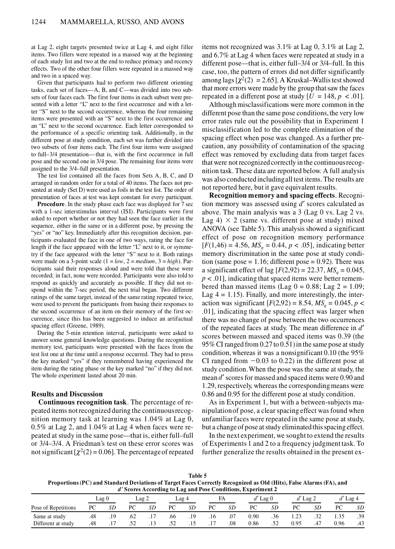at Lag 2, eight targets presented twice at Lag 4, and eight filler items. Two fillers were repeated in a massed way at the beginning of each study list and two at the end to reduce primacy and recency effects. Two of the other four fillers were repeated in a massed way and two in a spaced way.

Given that participants had to perform two different orienting tasks, each set of faces—A, B, and C—was divided into two subsets of four faces each. The first four items in each subset were presented with a letter "L" next to the first occurrence and with a letter "S" next to the second occurrence, whereas the four remaining items were presented with an "S" next to the first occurrence and an "L" next to the second occurrence. Each letter corresponded to the performance of a specific orienting task. Additionally, in the different pose at study condition, each set was further divided into two subsets of four items each. The first four items were assigned to full–3/4 presentation— that is, with the first occurrence in full pose and the second one in 3/4 pose. The remaining four items were assigned to the 3/4–full presentation.

The test list contained all the faces from Sets A, B, C, and D arranged in random order for a total of 40 items. The faces not presented at study (Set D) were used as foils in the test list. The order of presentation of faces at test was kept constant for every participant.

**Procedure**. In the study phase each face was displayed for 7 sec with a 1-sec interstimulus interval (ISI). Participants were first asked to report whether or not they had seen the face earlier in the sequence, either in the same or in a different pose, by pressing the "yes" or "no" key. Immediately after this recognition decision, participants evaluated the face in one of two ways, rating the face for length if the face appeared with the letter "L" next to it, or symmetry if the face appeared with the letter "S" next to it. Both ratings were made on a 3-point scale  $(1 = low, 2 = medium, 3 = high)$ . Participants said their responses aloud and were told that these were recorded; in fact, none were recorded. Participants were also told to respond as quickly and accurately as possible. If they did not respond within the 7-sec period, the next trial began. Two different ratings of the same target, instead of the same rating repeated twice, were used to prevent the participants from basing their responses to the second occurrence of an item on their memory of the first occurrence, since this has been suggested to induce an artifactual spacing effect (Greene, 1989).

During the 5-min retention interval, participants were asked to answer some general knowledge questions. During the recognition memory test, participants were presented with the faces from the test list one at the time until a response occurred. They had to press the key marked "yes" if they remembered having experienced the item during the rating phase or the key marked "no" if they did not. The whole experiment lasted about 20 min.

## **Results and Discussion**

**Continuous recognition task**. The percentage of repeated items not recognized during the continuous recognition memory task at learning was 1.04% at Lag 0, 0.5% at Lag 2, and 1.04% at Lag 4 when faces were repeated at study in the same pose—that is, either full–full or 3/4–3/4. A Friedman's test on these error scores was not significant  $[\chi^2(2) = 0.06]$ . The percentage of repeated items not recognized was 3.1% at Lag 0, 3.1% at Lag 2, and 6.7% at Lag 4 when faces were repeated at study in a different pose—that is, either full–3/4 or 3/4–full. In this case, too, the pattern of errors did not differ significantly among lags  $[\chi^2(2) = 2.65]$ . A Kruskal–Wallis test showed that more errors were made by the group that saw the faces repeated in a different pose at study  $[U = 148, p < .01]$ .

Although misclassifications were more common in the different pose than the same pose conditions, the very low error rates rule out the possibility that in Experiment 1 misclassification led to the complete elimination of the spacing effect when pose was changed. As a further precaution, any possibility of contamination of the spacing effect was removed by excluding data from target faces that were not recognized correctly in the continuous recognition task. These data are reported below. A full analysis was also conductedincludingall test items. The results are not reported here, but it gave equivalent results.

**Recognition memory and spacing effects**. Recognition memory was assessed using d' scores calculated as above. The main analysis was a 3 (Lag 0 vs. Lag 2 vs. Lag 4)  $\times$  2 (same vs. different pose at study) mixed ANOVA (see Table 5). This analysis showed a significant effect of pose on recognition memory performance  $[F(1,46) = 4.56, MS<sub>e</sub> = 0.44, p < .05]$ , indicating better memory discrimination in the same pose at study condition (same pose  $= 1.16$ ; different pose  $= 0.92$ ). There was a significant effect of lag  $[F(2,92) = 22.37, MS_e = 0.045,$  $p < .01$ ], indicating that spaced items were better remembered than massed items (Lag  $0 = 0.88$ ; Lag  $2 = 1.09$ ; Lag  $4 = 1.15$ . Finally, and more interestingly, the interaction was significant  $[F(2,92) = 8.54, MS_e = 0.045, p <$ .01], indicating that the spacing effect was larger when there was no change of pose between the two occurrences of the repeated faces at study. The mean difference in *d'* scores between massed and spaced items was 0.39 (the 95% CI ranged from 0.27 to 0.51) in the same pose at study condition, whereas it was a nonsignificant 0.10 (the 95% CI ranged from  $-0.03$  to 0.22) in the different pose at study condition.When the pose was the same at study, the mean *d*<sup> $\prime$ </sup> scores for massed and spaced items were 0.90 and 1.29, respectively, whereas the corresponding means were 0.86 and 0.95 for the different pose at study condition.

As in Experiment 1, but with a between-subjects manipulation of pose, a clear spacing effect was found when unfamiliar faces were repeated in the same pose at study, but a change of pose at study eliminated this spacing effect.

In the next experiment, we sought to extend the results of Experiments 1 and 2 to a frequency judgment task. To further generalize the results obtained in the present ex-

**Table 5 Proportions (PC) and Standard Deviations of Target Faces Correctly Recognized as Old (Hits), False Alarms (FA), and** *d*¢ **Scores According to Lag and Pose Conditions, Experiment 2**

| -----------<br>.    |     |                        |              |     |     |                |           |     |      |                       |          |     |      |                |
|---------------------|-----|------------------------|--------------|-----|-----|----------------|-----------|-----|------|-----------------------|----------|-----|------|----------------|
|                     |     | $\text{Lag} \, \Gamma$ | $\text{Lag}$ |     |     | $\text{Lag }4$ |           | FА  | ď    | $\text{Lag}$ $\theta$ | $d'$ Lag |     |      | $\text{Lag }4$ |
| Pose of Repetitions | PC  | SD                     | PС           | SD  | РC  | <b>SD</b>      | РC        | SD  | PC   | SD                    | PC       | SD  | PС   | SD             |
| Same at study       |     | .19                    | .62          |     | .66 | .19            | .16       | .07 | 0.90 | .36                   | 1.23     | .32 | 1.35 | .39            |
| Different at study  | .48 | $\cdot$ 1              | ے ب          | .13 | ے ب | .15            | $\cdot$ 1 | .08 | 0.86 | 52<br>ے ب             | 0.95     | .47 | 0.96 | .43            |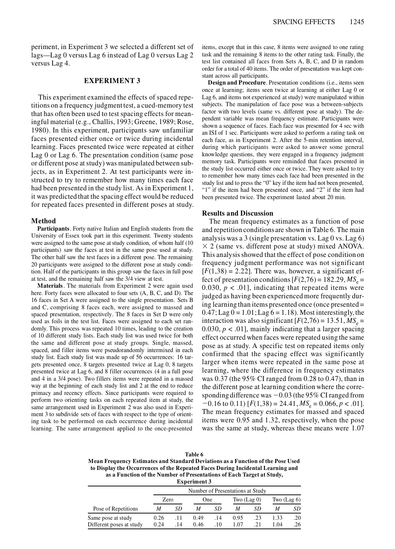periment, in Experiment 3 we selected a different set of lags—Lag 0 versus Lag 6 instead of Lag 0 versus Lag 2 versus Lag 4.

# **EXPERIMENT 3**

This experiment examined the effects of spaced repetitions on a frequency judgment test, a cued-memory test that has often been used to test spacing effects for meaningful material (e.g., Challis, 1993; Greene, 1989; Rose, 1980). In this experiment, participants saw unfamiliar faces presented either once or twice during incidental learning. Faces presented twice were repeated at either Lag 0 or Lag 6. The presentation condition (same pose or different pose at study) was manipulated between subjects, as in Experiment 2. At test participants were instructed to try to remember how many times each face had been presented in the study list. As in Experiment 1, it was predicted that the spacing effect would be reduced for repeated faces presented in different poses at study.

#### **Method**

**Participants**. Forty native Italian and English students from the University of Essex took part in this experiment. Twenty students were assigned to the same pose at study condition, of whom half (10 participants) saw the faces at test in the same pose used at study. The other half saw the test faces in a different pose. The remaining 20 participants were assigned to the different pose at study condition. Half of the participants in this group saw the faces in full pose at test, and the remaining half saw the 3/4 view at test.

**Materials**. The materials from Experiment 2 were again used here. Forty faces were allocated to four sets (A, B, C, and D). The 16 faces in Set A were assigned to the single presentation. Sets B and C, comprising 8 faces each, were assigned to massed and spaced presentation, respectively. The 8 faces in Set D were only used as foils in the test list. Faces were assigned to each set randomly. This process was repeated 10 times, leading to the creation of 10 different study lists. Each study list was used twice for both the same and different pose at study groups. Single, massed, spaced, and filler items were pseudorandomly intermixed in each study list. Each study list was made up of 56 occurrences: 16 targets presented once, 8 targets presented twice at Lag 0, 8 targets presented twice at Lag 6, and 8 filler occurrences (4 in a full pose and 4 in a 3/4 pose). Two fillers items were repeated in a massed way at the beginning of each study list and 2 at the end to reduce primacy and recency effects. Since participants were required to perform two orienting tasks on each repeated item at study, the same arrangement used in Experiment 2 was also used in Experiment 3 to subdivide sets of faces with respect to the type of orienting task to be performed on each occurrence during incidental learning. The same arrangement applied to the once-presented

items, except that in this case, 8 items were assigned to one rating task and the remaining 8 items to the other rating task. Finally, the test list contained all faces from Sets A, B, C, and D in random order for a total of 40 items. The order of presentation was kept constant across all participants.

**Design and Procedure**. Presentation conditions (i.e., items seen once at learning; items seen twice at learning at either Lag 0 or Lag 6, and items not experienced at study) were manipulated within subjects. The manipulation of face pose was a between-subjects factor with two levels (same vs. different pose at study). The dependent variable was mean frequency estimate. Participants were shown a sequence of faces. Each face was presented for 4 sec with an ISI of 1 sec. Participants were asked to perform a rating task on each face, as in Experiment 2. After the 5-min retention interval, during which participants were asked to answer some general knowledge questions, they were engaged in a frequency judgment memory task. Participants were reminded that faces presented in the study list occurred either once or twice. They were asked to try to remember how many times each face had been presented in the study list and to press the "0" key if the item had not been presented, "1" if the item had been presented once, and "2" if the item had been presented twice. The experiment lasted about 20 min.

#### **Results and Discussion**

The mean frequency estimates as a function of pose and repetition conditions are shown in Table 6. The main analysis was a 3 (single presentation vs. Lag 0 vs. Lag 6)  $\times$  2 (same vs. different pose at study) mixed ANOVA. This analysis showed that the effect of pose condition on frequency judgment performance was not significant  $[F(1,38) = 2.22]$ . There was, however, a significant effect of presentation conditions  $[F(2,76) = 182.29, MS_e =$ 0.030,  $p < .01$ ], indicating that repeated items were judged as having been experienced more frequently during learning than items presented once (once presented =  $0.47$ ; Lag  $0 = 1.01$ ; Lag  $6 = 1.18$ ). Most interestingly, the interaction was also significant  $[F(2,76) = 13.51, MS$ <sub>e</sub> = 0.030,  $p < .01$ ], mainly indicating that a larger spacing effect occurred when faces were repeated using the same pose as at study. A specific test on repeated items only confirmed that the spacing effect was significantly larger when items were repeated in the same pose at learning, where the difference in frequency estimates was 0.37 (the 95% CI ranged from 0.28 to 0.47), than in the different pose at learning condition where the corresponding difference was  $-0.03$  (the 95% CI ranged from  $-0.16$  to  $0.11$ ) [ $F(1,38) = 24.41$ ,  $MS_e = 0.066$ ,  $p < .01$ ]. The mean frequency estimates for massed and spaced items were 0.95 and 1.32, respectively, when the pose was the same at study, whereas these means were 1.07

**Table 6 Mean Frequency Estimates and Standard Deviations as a Function of the Pose Used to Display the Occurrences of the Repeated Faces During Incidental Learning and as a Function of the Number of Presentations of Each Target at Study, Experiment 3**

|                          |      |                                  | --------------- |    |               |     |               |     |  |  |  |  |
|--------------------------|------|----------------------------------|-----------------|----|---------------|-----|---------------|-----|--|--|--|--|
|                          |      | Number of Presentations at Study |                 |    |               |     |               |     |  |  |  |  |
|                          | Zero |                                  | One             |    | Two $(Lag 0)$ |     | Two $(Lag 6)$ |     |  |  |  |  |
| Pose of Repetitions      | М    | SD.                              | M               | SD | М             | SD  | M             | SD  |  |  |  |  |
| Same pose at study       | 0.26 | . I I                            | 0.49            | 14 | 0.95          | .23 | 1.33          | .20 |  |  |  |  |
| Different poses at study | 0.24 | 14                               | 0.46            | 10 | 1.07          | 21  | 1.04          | .26 |  |  |  |  |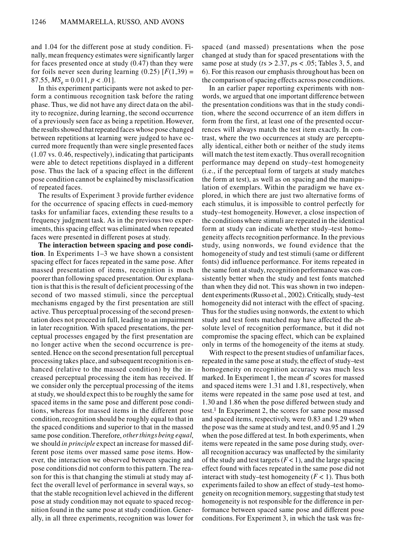and 1.04 for the different pose at study condition. Finally, mean frequency estimates were significantly larger for faces presented once at study (0.47) than they were for foils never seen during learning  $(0.25)$   $[F(1,39) =$  $87.55, MS<sub>e</sub> = 0.011, p < .01$ .

In this experiment participants were not asked to perform a continuous recognition task before the rating phase. Thus, we did not have any direct data on the ability to recognize, during learning, the second occurrence of a previously seen face as being a repetition. However, the results showed that repeated faces whose pose changed between repetitions at learning were judged to have occurred more frequently than were single presented faces (1.07 vs. 0.46, respectively), indicating that participants were able to detect repetitions displayed in a different pose. Thus the lack of a spacing effect in the different pose condition cannot be explained by misclassification of repeated faces.

The results of Experiment 3 provide further evidence for the occurrence of spacing effects in cued-memory tasks for unfamiliar faces, extending these results to a frequency judgment task. As in the previous two experiments, this spacing effect was eliminated when repeated faces were presented in different poses at study.

**The interaction between spacing and pose condition**. In Experiments 1–3 we have shown a consistent spacing effect for faces repeated in the same pose. After massed presentation of items, recognition is much poorer than following spaced presentation. Our explanation is that this is the result of deficient processing of the second of two massed stimuli, since the perceptual mechanisms engaged by the first presentation are still active. Thus perceptual processing of the second presentation does not proceed in full, leading to an impairment in later recognition. With spaced presentations, the perceptual processes engaged by the first presentation are no longer active when the second occurrence is presented. Hence on the second presentation full perceptual processing takes place, and subsequent recognitionis enhanced (relative to the massed condition) by the increased perceptual processing the item has received. If we consider only the perceptual processing of the items at study, we should expect this to be roughly the same for spaced items in the same pose and different pose conditions, whereas for massed items in the different pose condition, recognition should be roughly equal to that in the spaced conditions and superior to that in the massed same pose condition.Therefore, *other things being equal*, we should *in principle* expect an increase for massed different pose items over massed same pose items. However, the interaction we observed between spacing and pose conditions did not conform to this pattern. The reason for this is that changing the stimuli at study may affect the overall level of performance in several ways, so that the stable recognition level achieved in the different pose at study condition may not equate to spaced recognition found in the same pose at study condition. Generally, in all three experiments, recognition was lower for spaced (and massed) presentations when the pose changed at study than for spaced presentations with the same pose at study (*t*s > 2.37, *p*s < .05; Tables 3, 5, and 6). For this reason our emphasis throughout has been on the comparison of spacing effects across pose conditions.

In an earlier paper reporting experiments with nonwords, we argued that one important difference between the presentation conditions was that in the study condition, where the second occurrence of an item differs in form from the first, at least one of the presented occurrences will always match the test item exactly. In contrast, where the two occurrences at study are perceptually identical, either both or neither of the study items will match the test item exactly. Thus overall recognition performance may depend on study–test homogeneity (i.e., if the perceptual form of targets at study matches the form at test), as well as on spacing and the manipulation of exemplars. Within the paradigm we have explored, in which there are just two alternative forms of each stimulus, it is impossible to control perfectly for study–test homogeneity. However, a close inspection of the conditions where stimuli are repeated in the identical form at study can indicate whether study–test homogeneity affects recognition performance. In the previous study, using nonwords, we found evidence that the homogeneity of study and test stimuli (same or different fonts) did influence performance. For items repeated in the same font at study, recognition performance was consistently better when the study and test fonts matched than when they did not. This was shown in two independent experiments (Russo et al., 2002). Critically, study–test homogeneity did not interact with the effect of spacing. Thus for the studies using nonwords, the extent to which study and test fonts matched may have affected the absolute level of recognition performance, but it did not compromise the spacing effect, which can be explained only in terms of the homogeneity of the items at study.

With respect to the present studies of unfamiliar faces, repeated in the same pose at study, the effect of study–test homogeneity on recognition accuracy was much less marked. In Experiment 1, the mean d' scores for massed and spaced items were 1.31 and 1.81, respectively, when items were repeated in the same pose used at test, and 1.30 and 1.86 when the pose differed between study and test.1 In Experiment 2, the scores for same pose massed and spaced items, respectively, were 0.83 and 1.29 when the pose was the same at study and test, and 0.95 and 1.29 when the pose differed at test. In both experiments, when items were repeated in the same pose during study, overall recognition accuracy was unaffected by the similarity of the study and test targets  $(F < 1)$ , and the large spacing effect found with faces repeated in the same pose did not interact with study–test homogeneity  $(F < 1)$ . Thus both experiments failed to show an effect of study–test homogeneity on recognition memory, suggesting that study test homogeneity is not responsible for the difference in performance between spaced same pose and different pose conditions. For Experiment 3, in which the task was fre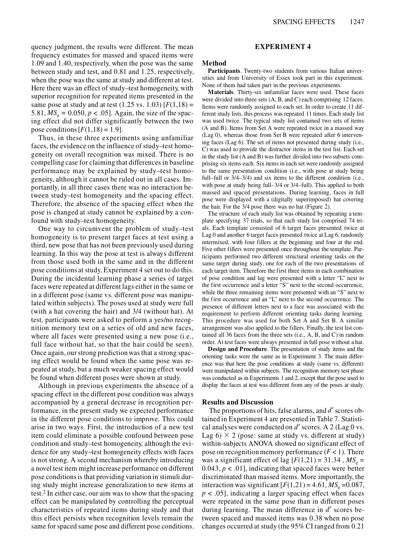quency judgment, the results were different. The mean frequency estimates for massed and spaced items were 1.09 and 1.40, respectively, when the pose was the same between study and test, and 0.81 and 1.25, respectively, when the pose was the same at study and different at test. Here there was an effect of study–test homogeneity, with superior recognition for repeated items presented in the same pose at study and at test  $(1.25 \text{ vs. } 1.03)$   $[F(1,18) =$ 5.81,  $MS_e = 0.050, p < .05$ . Again, the size of the spacing effect did not differ significantly between the two pose conditions  $[F(1,18) = 1.9]$ .

Thus, in these three experiments using unfamiliar faces, the evidence on the influence of study–test homogeneity on overall recognition was mixed. There is no compelling case for claiming that differences in baseline performance may be explained by study–test homogeneity, although it cannot be ruled out in all cases. Importantly, in all three cases there was no interaction between study–test homogeneity and the spacing effect. Therefore, the absence of the spacing effect when the pose is changed at study cannot be explained by a confound with study–test homogeneity.

One way to circumvent the problem of study–test homogeneity is to present target faces at test using a third, new pose that has not been previously used during learning. In this way the pose at test is always different from those used both in the same and in the different pose conditions at study. Experiment 4 set out to do this. During the incidental learning phase a series of target faces were repeated at different lags either in the same or in a different pose (same vs. different pose was manipulated within subjects). The poses used at study were full (with a hat covering the hair) and 3/4 (without hat). At test, participants were asked to perform a yes/no recognition memory test on a series of old and new faces, where all faces were presented using a new pose (i.e., full face without hat, so that the hair could be seen). Once again, our strong prediction was that a strong spacing effect would be found when the same pose was repeated at study, but a much weaker spacing effect would be found when different poses were shown at study.

Although in previous experiments the absence of a spacing effect in the different pose condition was always accompanied by a general decrease in recognition performance, in the present study we expected performance in the different pose conditions to improve. This could arise in two ways. First, the introduction of a new test item could eliminate a possible confound between pose condition and study–test homogeneity, although the evidence for any study–test homogeneity effects with faces is not strong. A second mechanism whereby introducing a novel test item might increase performance on different pose conditions is that providing variation in stimuli during study might increase generalization to new items at test.2 In either case, our aim was to show that the spacing effect can be manipulated by controlling the perceptual characteristics of repeated items during study and that this effect persists when recognition levels remain the same for spaced same pose and different pose conditions.

# **EXPERIMENT 4**

#### **Method**

**Participants**. Twenty-two students from various Italian universities and from University of Essex took part in this experiment. None of them had taken part in the previous experiments.

**Materials**. Thirty-six unfamiliar faces were used. These faces were divided into three sets (A, B, and C) each comprising 12 faces. Items were randomly assigned to each set. In order to create 11 different study lists, this process was repeated 11 times. Each study list was used twice. The typical study list contained two sets of items (A and B). Items from Set A were repeated twice in a massed way (Lag 0), whereas those from Set B were repeated after 6 intervening faces (Lag 6). The set of items not presented during study (i.e., C) was used to provide the distractor items in the test list. Each set in the study list (A and B) was further divided into two subsets comprising six items each. Six items in each set were randomly assigned to the same presentation condition (i.e., with pose at study being full–full or  $3/4-3/4$ ) and six items to the different condition (i.e., with pose at study being full–3/4 or 3/4–full). This applied to both massed and spaced presentations. During learning, faces in full pose were displayed with a (digitally superimposed) hat covering the hair. For the 3/4 pose there was no hat (Figure 2).

The structure of each study list was obtained by repeating a template specifying 37 trials, so that each study list comprised 74 trials. Each template consisted of 6 target faces presented twice at Lag 0 and another 6 target faces presented twice at Lag 6, randomly intermixed, with four fillers at the beginning and four at the end. Five other fillers were presented once throughout the template. Participants performed two different structural orienting tasks on the same target during study, one for each of the two presentations of each target item. Therefore the first three items in each combination of pose condition and lag were presented with a letter "L" next to the first occurrence and a letter "S" next to the second occurrence, while the three remaining items were presented with an "S" next to the first occurrence and an "L" next to the second occurrence. The presence of different letters next to a face was associated with the requirement to perform different orienting tasks during learning. This procedure was used for both Set A and Set B. A similar arrangement was also applied to the fillers. Finally, the test list contained all 36 faces from the three sets (i.e., A, B, and C) in random order. At test faces were always presented in full pose without a hat.

**Design and Procedure**. The presentation of study items and the orienting tasks were the same as in Experiment 3. The main difference was that here the pose conditions at study (same vs. different) were manipulated within subjects. The recognition memory test phase was conducted as in Experiments 1 and 2, except that the pose used to display the faces at test was different from any of the poses at study.

#### **Results and Discussion**

The proportions of hits, false alarms, and *d'* scores obtained in Experiment 4 are presented in Table 7. Statistical analyses were conducted on *d'* scores. A 2 (Lag 0 vs. Lag  $6) \times 2$  (pose: same at study vs. different at study) within-subjects ANOVA showed no significant effect of pose on recognition memory performance  $(F < 1)$ . There was a significant effect of lag  $[F(1,21) = 31.34, MS<sub>e</sub>]$  $0.043$ ,  $p < .01$ ], indicating that spaced faces were better discriminated than massed items. More importantly, the interaction was significant  $[F(1,21) = 4.61, MS_e = 0.087,$ *p* < .05], indicating a larger spacing effect when faces were repeated in the same pose than in different poses during learning. The mean difference in *d'* scores between spaced and massed items was 0.38 when no pose changes occurred at study (the 95% CI ranged from 0.21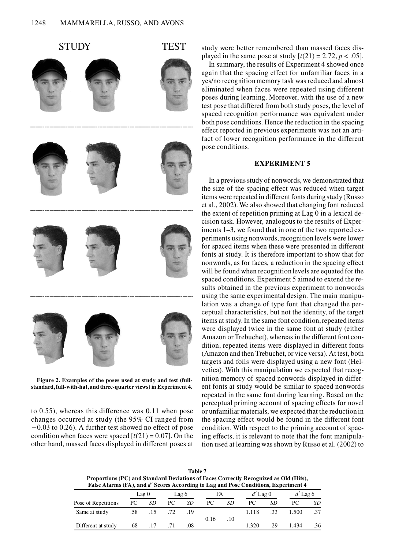

**Figure 2. Examples of the poses used at study and test (fullstandard, full-with-hat, and three-quarter views) in Experiment 4.**

to 0.55), whereas this difference was 0.11 when pose changes occurred at study (the 95% CI ranged from  $-0.03$  to 0.26). A further test showed no effect of pose condition when faces were spaced  $[t(21) = 0.07]$ . On the other hand, massed faces displayed in different poses at study were better remembered than massed faces displayed in the same pose at study  $[t(21) = 2.72, p < .05]$ .

In summary, the results of Experiment 4 showed once again that the spacing effect for unfamiliar faces in a yes/no recognition memory task was reduced and almost eliminated when faces were repeated using different poses during learning. Moreover, with the use of a new test pose that differed from both study poses, the level of spaced recognition performance was equivalent under both pose conditions. Hence the reduction in the spacing effect reported in previous experiments was not an artifact of lower recognition performance in the different pose conditions.

## **EXPERIMENT 5**

In a previous study of nonwords, we demonstrated that the size of the spacing effect was reduced when target items were repeated in different fonts during study (Russo et al., 2002). We also showed that changing font reduced the extent of repetition priming at Lag 0 in a lexical decision task. However, analogous to the results of Experiments 1–3, we found that in one of the two reported experiments using nonwords, recognition levels were lower for spaced items when these were presented in different fonts at study. It is therefore important to show that for nonwords, as for faces, a reduction in the spacing effect will be found when recognitionlevels are equated for the spaced conditions. Experiment 5 aimed to extend the results obtained in the previous experiment to nonwords using the same experimental design. The main manipulation was a change of type font that changed the perceptual characteristics, but not the identity, of the target items at study. In the same font condition, repeated items were displayed twice in the same font at study (either Amazon or Trebuchet), whereas in the different font condition, repeated items were displayed in different fonts (Amazon and then Trebuchet, or vice versa). At test, both targets and foils were displayed using a new font (Helvetica). With this manipulation we expected that recognition memory of spaced nonwords displayed in different fonts at study would be similar to spaced nonwords repeated in the same font during learning. Based on the perceptual priming account of spacing effects for novel or unfamiliar materials, we expected that the reduction in the spacing effect would be found in the different font condition. With respect to the priming account of spacing effects, it is relevant to note that the font manipulation used at learning was shown by Russo et al. (2002) to

| Table 7                                                                               |
|---------------------------------------------------------------------------------------|
| Proportions (PC) and Standard Deviations of Faces Correctly Recognized as Old (Hits), |
| False Alarms (FA), and d' Scores According to Lag and Pose Conditions, Experiment 4   |

|                     | Lag 0 |     | Lag 6 |     | FA   |         | $d'$ Lag 0 |     | $d'$ Lag 6 |     |
|---------------------|-------|-----|-------|-----|------|---------|------------|-----|------------|-----|
| Pose of Repetitions | PС    | SD  | PC.   | SD  | PС   | SD      | PС         | SD  | PС         | SD  |
| Same at study       | .58   | .15 | .72   | .19 | 0.16 | $.10\,$ | 1.118      | .33 | 1.500      |     |
| Different at study  | .68   | .17 |       | .08 |      |         | 1.320      | .29 | 1.434      | .36 |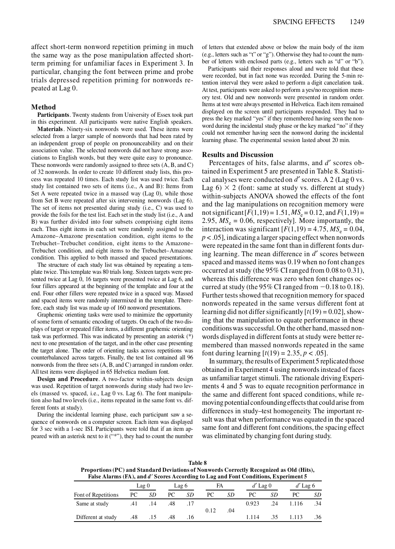affect short-term nonword repetition priming in much the same way as the pose manipulation affected shortterm priming for unfamiliar faces in Experiment 3. In particular, changing the font between prime and probe trials depressed repetition priming for nonwords repeated at Lag 0.

#### **Method**

**Participants**. Twenty students from University of Essex took part in this experiment. All participants were native English speakers.

**Materials**. Ninety-six nonwords were used. These items were selected from a larger sample of nonwords that had been rated by an independent group of people on pronounceability and on their association value. The selected nonwords did not have strong associations to English words, but they were quite easy to pronounce. These nonwords were randomly assigned to three sets (A, B, and C) of 32 nonwords. In order to create 10 different study lists, this process was repeated 10 times. Each study list was used twice. Each study list contained two sets of items (i.e., A and B): Items from Set A were repeated twice in a massed way (Lag 0), while those from Set B were repeated after six intervening nonwords (Lag 6). The set of items not presented during study (i.e., C) was used to provide the foils for the test list. Each set in the study list (i.e., A and B) was further divided into four subsets comprising eight items each. Thus eight items in each set were randomly assigned to the Amazone–Amazone presentation condition, eight items to the Trebuchet– Trebuchet condition, eight items to the Amazone– Trebuchet condition, and eight items to the Trebuchet–Amazone condition. This applied to both massed and spaced presentations.

The structure of each study list was obtained by repeating a template twice. This template was 80 trials long. Sixteen targets were presented twice at Lag 0, 16 targets were presented twice at Lag 6, and four fillers appeared at the beginning of the template and four at the end. Four other fillers were repeated twice in a spaced way. Massed and spaced items were randomly intermixed in the template. Therefore, each study list was made up of 160 nonword presentations.

Graphemic orienting tasks were used to minimize the opportunity of some form of semantic encoding of targets. On each of the two displays of target or repeated filler items, a different graphemic orienting task was performed. This was indicated by presenting an asterisk (\*) next to one presentation of the target, and in the other case presenting the target alone. The order of orienting tasks across repetitions was counterbalanced across targets. Finally, the test list contained all 96 nonwords from the three sets (A, B, and C) arranged in random order. All test items were displayed in 65 Helvetica medium font.

**Design and Procedure**. A two-factor within-subjects design was used. Repetition of target nonwords during study had two levels (massed vs. spaced, i.e., Lag 0 vs. Lag 6). The font manipulation also had two levels (i.e., items repeated in the same font vs. different fonts at study).

During the incidental learning phase, each participant saw a sequence of nonwords on a computer screen. Each item was displayed for 3 sec with a 1-sec ISI. Participants were told that if an item appeared with an asterisk next to it ("\*"), they had to count the number of letters that extended above or below the main body of the item (e.g., letters such as "t" or "g"). Otherwise they had to count the number of letters with enclosed parts (e.g., letters such as "d" or "b").

Participants said their responses aloud and were told that these were recorded, but in fact none was recorded. During the 5-min retention interval they were asked to perform a digit cancelation task. At test, participants were asked to perform a yes/no recognition memory test. Old and new nonwords were presented in random order. Items at test were always presented in Helvetica. Each item remained displayed on the screen until participants responded. They had to press the key marked "yes" if they remembered having seen the nonword during the incidental study phase or the key marked "no" if they could not remember having seen the nonword during the incidental learning phase. The experimental session lasted about 20 min.

### **Results and Discussion**

Percentages of hits, false alarms, and *d'* scores obtained in Experiment 5 are presented in Table 8. Statistical analyses were conducted on *d'* scores. A 2 (Lag 0 vs. Lag 6)  $\times$  2 (font: same at study vs. different at study) within-subjects ANOVA showed the effects of the font and the lag manipulations on recognition memory were not significant  $[F(1,19) = 1.51, MS_e = 0.12, and F(1,19) =$ 2.95,  $MS_e = 0.06$ , respectively]. More importantly, the interaction was significant  $[F(1,19) = 4.75, MS_e = 0.04,$ *p* < .05], indicating a larger spacing effect when nonwords were repeated in the same font than in different fonts during learning. The mean difference in *d*' scores between spaced and massed items was 0.19 when no font changes occurred at study (the 95% CI ranged from 0.08 to 0.31), whereas this difference was zero when font changes occurred at study (the 95% CI ranged from  $-0.18$  to 0.18). Further tests showed that recognition memory for spaced nonwords repeated in the same versus different font at learning did not differ significantly  $[t(19) = 0.02]$ , showing that the manipulation to equate performance in these conditions was successful. On the other hand, massed nonwords displayed in different fonts at study were better remembered than massed nonwords repeated in the same font during learning  $[t(19) = 2.35, p < .05]$ .

In summary, the results of Experiment 5 replicated those obtained in Experiment 4 using nonwords instead of faces as unfamiliar target stimuli. The rationale driving Experiments 4 and 5 was to equate recognition performance in the same and different font spaced conditions, while removing potential confoundingeffects that could arise from differences in study–test homogeneity. The important result was that when performance was equated in the spaced same font and different font conditions, the spacing effect was eliminated by changing font during study.

**Table 8 Proportions (PC) and Standard Deviations of Nonwords Correctly Recognized as Old (Hits), False Alarms (FA), and** *d*¢ **Scores According to Lag and Font Conditions, Experiment 5**

|                     | Lag <sub>0</sub> |     | Lag 6 |     | FA   |     | $d'$ Lag 0 |     | $d'$ Lag 6 |     |
|---------------------|------------------|-----|-------|-----|------|-----|------------|-----|------------|-----|
| Font of Repetitions | PС               | SD  | PC    | SD  | PС   | SD  | PС         | SD  | PС         | SD  |
| Same at study       | .41              | .14 | .48   |     | 0.12 | .04 | 0.923      | .24 | 1.116      | .34 |
| Different at study  | .48              | .15 | .48   | .16 |      |     | 1.114      |     |            | .36 |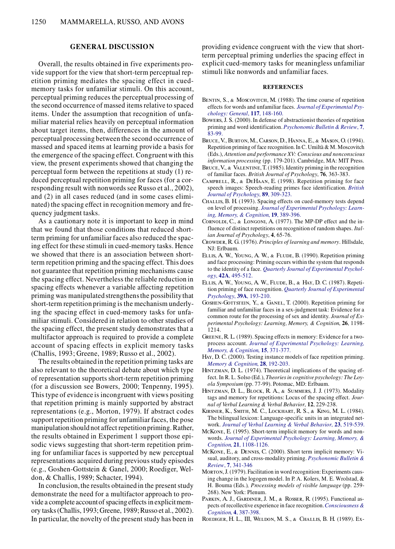## **GENERAL DISCUSSION**

Overall, the results obtained in five experiments provide support for the view that short-term perceptual repetition priming mediates the spacing effect in cuedmemory tasks for unfamiliar stimuli. On this account, perceptual priming reduces the perceptual processing of the second occurrence of massed items relative to spaced items. Under the assumption that recognition of unfamiliar material relies heavily on perceptual information about target items, then, differences in the amount of perceptual processing between the second occurrence of massed and spaced items at learning provide a basis for the emergence of the spacing effect. Congruent with this view, the present experiments showed that changing the perceptual form between the repetitions at study (1) reduced perceptual repetition priming for faces (for a corresponding result with nonwords see Russo et al., 2002), and (2) in all cases reduced (and in some cases eliminated) the spacing effect in recognition memory and frequency judgment tasks.

As a cautionary note it is important to keep in mind that we found that those conditions that reduced shortterm priming for unfamiliar faces also reduced the spacing effect for these stimuli in cued-memory tasks. Hence we showed that there is an association between shortterm repetition priming and the spacing effect. This does not guarantee that repetition priming mechanisms cause the spacing effect. Nevertheless the reliable reduction in spacing effects whenever a variable affecting repetition priming was manipulated strengthensthe possibilitythat short-term repetition priming is the mechanism underlying the spacing effect in cued-memory tasks for unfamiliar stimuli. Considered in relation to other studies of the spacing effect, the present study demonstrates that a multifactor approach is required to provide a complete account of spacing effects in explicit memory tasks (Challis, 1993; Greene, 1989; Russo et al., 2002).

The results obtained in the repetition priming tasks are also relevant to the theoretical debate about which type of representation supports short-term repetition priming (for a discussion see Bowers, 2000; Tenpenny, 1995). This type of evidence is incongruent with views positing that repetition priming is mainly supported by abstract representations (e.g., Morton, 1979). If abstract codes support repetition priming for unfamiliar faces, the pose manipulation should not affect repetition priming. Rather, the results obtained in Experiment 1 support those episodic views suggesting that short-term repetition priming for unfamiliar faces is supported by new perceptual representations acquired during previous study episodes (e.g., Goshen-Gottstein & Ganel, 2000; Roediger, Weldon, & Challis, 1989; Schacter, 1994).

In conclusion, the results obtained in the present study demonstrate the need for a multifactor approach to provide a complete account of spacing effects in explicitmemory tasks (Challis, 1993; Greene, 1989; Russo et al., 2002). In particular, the novelty of the present study has been in providing evidence congruent with the view that shortterm perceptual priming underlies the spacing effect in explicit cued-memory tasks for meaningless unfamiliar stimuli like nonwords and unfamiliar faces.

#### **REFERENCES**

- BENTIN, S., & MOSCOVITCH, M. (1988). The time course of repetition effects for words and unfamiliar faces. *Journal of Experimental Psychology: General*, **117**, 148-160.
- Bowers, J. S. (2000). In defense of abstractionist theories of repetition priming and word identification.*Psychonomic Bulletin & Review*, **7**, 83-99.
- Bruce, V., Burton, M., Carson, D., Hanna, E., & Mason, O. (1994). Repetition priming of face recognition. In C. Umiltà & M. Moscovitch (Eds.), *Attention and performance XV: Conscious and nonconscious information processing* (pp. 179-201). Cambridge, MA: MIT Press.
- BRUCE, V., & VALENTINE, T. (1985). Identity priming in the recognition of familiar faces. *British Journal of Psychology*, **76**, 363-383.
- Campbell, R., & DeHaan, E. (1998). Repetition priming for face speech images: Speech-reading primes face identification. *British Journal of Psychology*, **89**, 309-323.
- Challis, B. H. (1993). Spacing effects on cued-memory tests depend on level of processing. *Journal of Experimental Psychology: Learning, Memory, & Cognition*, **19**, 389-396.
- CORNOLDI, C., & LONGONI, A. (1977). The MP-DP effect and the influence of distinct repetitions on recognition of random shapes. *Italian Journal of Psychology*, **4**, 65-76.
- Crowder, R. G. (1976). *Principles of learning and memory*. Hillsdale, NJ: Erlbaum.
- Ellis, A. W., Young, A. W., & Flude, B. (1990). Repetition priming and face processing: Priming occurs within the system that responds to the identity of a face. *Quarterly Journal of Experimental Psychology*, **42A**, 495-512.
- Ellis, A. W., Young, A. W., Flude, B., & Hay, D. C. (1987). Repetition priming of face recognition. *Quarterly Journal of Experimental Psychology*, **39A**, 193-210.
- GOSHEN-GOTTSTEIN, Y., & GANEL, T. (2000). Repetition priming for familiar and unfamiliar faces in a sex-judgment task: Evidence for a common route for the processing of sex and identity. *Journal of Experimental Psychology: Learning, Memory, & Cognition*, **26**, 1198- 1214.
- GREENE, R. L. (1989). Spacing effects in memory: Evidence for a twoprocess account. *Journal of Experimental Psychology: Learning, Memory, & Cognition*, **15**, 371-377.
- Hay, D. C. (2000). Testing instance models of face repetition priming. *Memory & Cognition*, **28**, 192-203.
- HINTZMAN, D. L. (1974). Theoretical implications of the spacing effect. In R. L. Solso (Ed.), *Theories in cognitive psychology: The Loyola Symposium* (pp. 77-99). Potomac, MD: Erlbaum.
- Hintzman, D. L., Block, R. A., & Summers, J. J. (1973). Modality tags and memory for repetitions: Locus of the spacing effect. *Journal of Verbal Learning & Verbal Behavior*, **12**, 229-238.
- Kirsner, K., Smith, M. C., Lockhart, R. S., & King, M. L. (1984). The bilingual lexicon: Language-specific units in an integrated network. *Journal of Verbal Learning & Verbal Behavior*, **23**, 519-539.
- McKone, E. (1995). Short-term implicit memory for words and nonwords. *Journal of Experimental Psychology: Learning, Memory, & Cognition*, **21**, 1108-1126.
- McKone, E., & Dennis, C. (2000). Short term implicit memory: Visual, auditory, and cross-modality priming. *Psychonomic Bulletin & Review*, **7**, 341-346
- Morton, J. (1979). Facilitation in word recognition: Experiments causing change in the logogen model. In P. A. Kolers, M. E. Wrolstad, & H. Bouma (Eds.)*, Processing models of visible language* (pp. 259- 268). New York: Plenum.
- PARKIN, A. J., GARDINER, J. M., & ROSSER, R. (1995). Functional aspects of recollective experience in face recognition.*Consciousness & Cognition*, **4**, 387-398.
- Roediger, H. L., III, Weldon, M. S., & Challis, B. H. (1989). Ex-